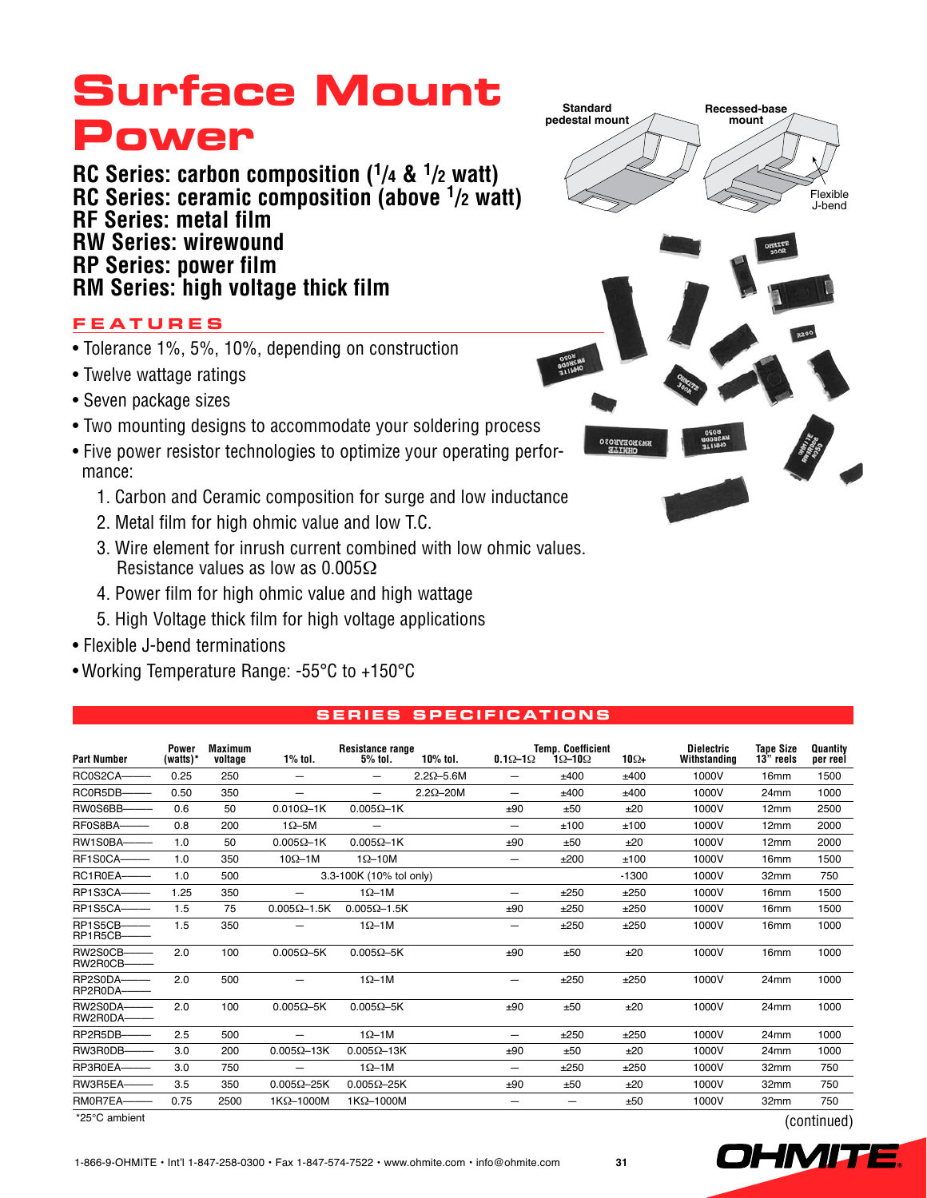**RC Series: carbon composition (1/4 & 1/2 watt) RC Series: ceramic composition (above 1/2 watt) RF Series: metal film RW Series: wirewound RP Series: power film RM Series: high voltage thick film**

### **Feature s**

- Tolerance 1%, 5%, 10%, depending on construction
- Twelve wattage ratings
- Seven package sizes
- Two mounting designs to accommodate your soldering process
- Five power resistor technologies to optimize your operating performance:
	- 1. Carbon and Ceramic composition for surge and low inductance
	- 2. Metal film for high ohmic value and low T.C.
	- 3. Wire element for inrush current combined with low ohmic values. Resistance values as low as  $0.005\Omega$
	- 4. Power film for high ohmic value and high wattage
	- 5. High Voltage thick film for high voltage applications
- Flexible J-bend terminations
- Working Temperature Range: -55°C to +150°C



#### **S ER I E S SP E CIFIC AT IONS**

| <b>Part Number</b>   | <b>Power</b><br>(watts) $*$ | Maximum<br>voltage | $1\%$ tol.               | <b>Resistance range</b><br>$5%$ tol. | 10% tol.           | $0.1\Omega - 1\Omega$    | <b>Temp. Coefficient</b><br>1Ω–10Ω | $10\Omega +$ | <b>Dielectric</b><br>Withstanding | <b>Tape Size</b><br>13" reels | <b>Quantity</b><br>per reel |
|----------------------|-----------------------------|--------------------|--------------------------|--------------------------------------|--------------------|--------------------------|------------------------------------|--------------|-----------------------------------|-------------------------------|-----------------------------|
| RC0S2CA-             | 0.25                        | 250                |                          | $\overline{\phantom{0}}$             | $2.2\Omega - 5.6M$ | $\overline{\phantom{0}}$ | ±400                               | ±400         | 1000V                             | 16 <sub>mm</sub>              | 1500                        |
| RC0R5DB-             | 0.50                        | 350                | $\overline{\phantom{0}}$ | $\overline{\phantom{0}}$             | $2.2\Omega - 20M$  | —                        | ±400                               | ±400         | 1000V                             | 24mm                          | 1000                        |
| RW0S6BB-             | 0.6                         | 50                 | $0.010\Omega - 1K$       | $0.005\Omega - 1K$                   |                    | ±90                      | ±50                                | ±20          | 1000V                             | 12mm                          | 2500                        |
| RF0S8BA-             | 0.8                         | 200                | $1\Omega - 5M$           |                                      |                    | —                        | ±100                               | ±100         | 1000V                             | 12mm                          | 2000                        |
| RW1S0BA-             | 1.0                         | 50                 | $0.005\Omega - 1K$       | $0.005\Omega - 1K$                   |                    | ±90                      | ±50                                | ±20          | 1000V                             | 12mm                          | 2000                        |
| RF1S0CA-             | 1.0                         | 350                | $10\Omega - 1M$          | $1\Omega - 10M$                      |                    | $\overline{\phantom{m}}$ | ±200                               | ±100         | 1000V                             | 16 <sub>mm</sub>              | 1500                        |
| RC1R0EA-             | 1.0                         | 500                |                          | 3.3-100K (10% tol only)              |                    |                          |                                    | $-1300$      | 1000V                             | 32mm                          | 750                         |
| RP1S3CA-             | 1.25                        | 350                |                          | $1\Omega - 1$ M                      |                    | $\overline{\phantom{0}}$ | ±250                               | ±250         | 1000V                             | 16 <sub>mm</sub>              | 1500                        |
| RP1S5CA-             | 1.5                         | 75                 | $0.005\Omega - 1.5K$     | $0.005\Omega - 1.5K$                 |                    | ±90                      | ±250                               | ±250         | 1000V                             | 16 <sub>mm</sub>              | 1500                        |
| RP1S5CB-<br>RP1R5CB- | 1.5                         | 350                |                          | $1\Omega - 1$ M                      |                    | -                        | ±250                               | ±250         | 1000V                             | 16 <sub>mm</sub>              | 1000                        |
| RW2S0CB-<br>RW2R0CB- | 2.0                         | 100                | $0.005\Omega - 5K$       | $0.005\Omega - 5K$                   |                    | ±90                      | ±50                                | ±20          | 1000V                             | 16 <sub>mm</sub>              | 1000                        |
| RP2S0DA-<br>RP2R0DA- | 2.0                         | 500                |                          | $1\Omega - 1$ M                      |                    | -                        | ±250                               | ±250         | 1000V                             | 24mm                          | 1000                        |
| RW2S0DA-<br>RW2R0DA- | 2.0                         | 100                | $0.005\Omega - 5K$       | $0.005\Omega - 5K$                   |                    | ±90                      | ±50                                | ±20          | 1000V                             | 24 <sub>mm</sub>              | 1000                        |
| RP2R5DB-             | 2.5                         | 500                |                          | $1\Omega - 1$ M                      |                    | —                        | ±250                               | ±250         | 1000V                             | 24mm                          | 1000                        |
| RW3R0DB-             | 3.0                         | 200                | $0.005\Omega$ -13K       | $0.005\Omega - 13K$                  |                    | ±90                      | ±50                                | ±20          | 1000V                             | 24mm                          | 1000                        |
| RP3R0EA-             | 3.0                         | 750                |                          | $1\Omega - 1$ M                      |                    | $\overline{\phantom{m}}$ | ±250                               | ±250         | 1000V                             | 32mm                          | 750                         |
| RW3R5EA-             | 3.5                         | 350                | $0.005\Omega - 25K$      | $0.005\Omega - 25K$                  |                    | ±90                      | ±50                                | ±20          | 1000V                             | 32mm                          | 750                         |
| RM0R7EA-             | 0.75                        | 2500               | 1KΩ-1000M                | 1KΩ-1000M                            |                    | -                        | $\overline{\phantom{0}}$           | ±50          | 1000V                             | 32mm                          | 750                         |
| *25°C ambient        |                             |                    |                          |                                      |                    |                          |                                    |              |                                   |                               | (continued)                 |

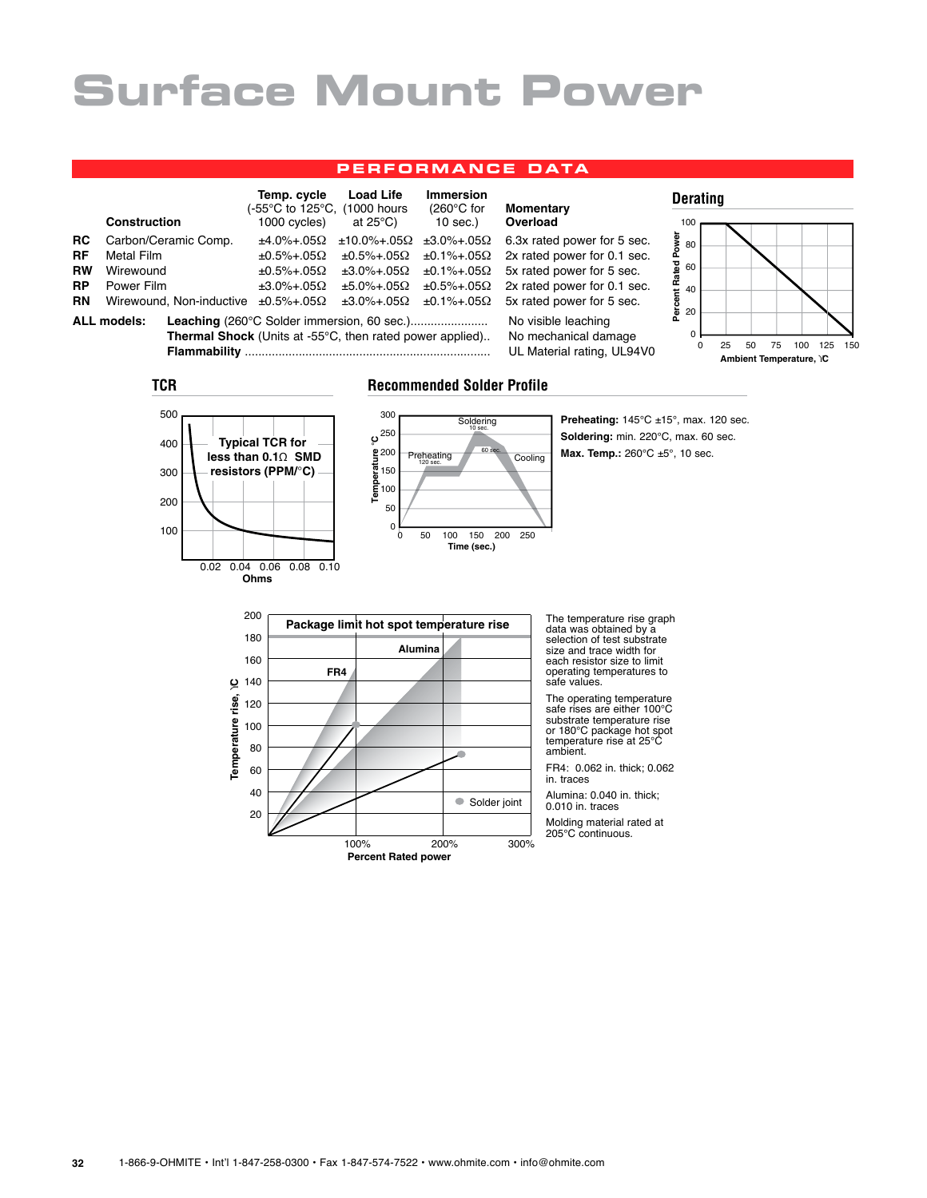#### **p e r fo rma nc e data**

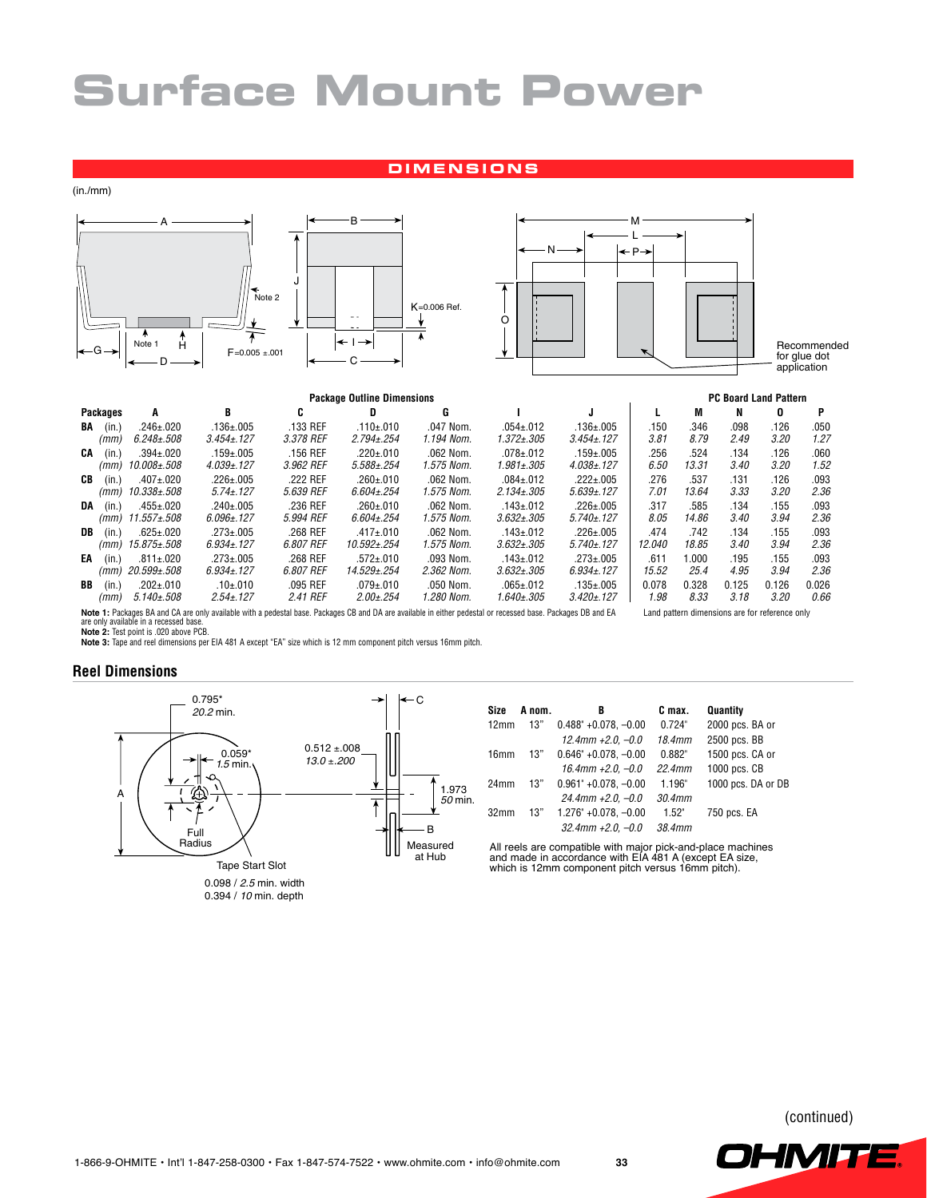#### **d ime nsions**

(in./mm)





Recommended for glue dot application

|    |                 |                   |                                                                                                                                                              | <b>PC Board Land Pattern</b> |                   |             |                   |                   |        |       |                                                |       |       |
|----|-----------------|-------------------|--------------------------------------------------------------------------------------------------------------------------------------------------------------|------------------------------|-------------------|-------------|-------------------|-------------------|--------|-------|------------------------------------------------|-------|-------|
|    | <b>Packages</b> | A                 | В                                                                                                                                                            | c                            | D                 | G           |                   |                   |        | M     | N                                              | 0     | P     |
| BA | (in.)           | $.246 \pm .020$   | $.136 \pm 0.005$                                                                                                                                             | .133 REF                     | .110±.010         | .047 Nom.   | $.054 + .012$     | $.136 \pm 0.005$  | .150   | .346  | .098                                           | .126  | .050  |
|    | (mm)            | $6.248 \pm 0.508$ | $3.454 \pm 127$                                                                                                                                              | 3.378 REF                    | $2.794 \pm 0.254$ | 1.194 Nom.  | 1.372±.305        | $3.454 \pm 127$   | 3.81   | 8.79  | 2.49                                           | 3.20  | 1.27  |
| CA | (in.)           | $.394 \pm .020$   | $.159 + .005$                                                                                                                                                | .156 REF                     | $.220 \pm .010$   | $.062$ Nom. | $.078 + .012$     | $.159 + .005$     | .256   | .524  | .134                                           | .126  | .060  |
|    | (mm)            | 10.008±.508       | $4.039 \pm 0.127$                                                                                                                                            | 3.962 REF                    | $5.588 \pm 0.254$ | 1.575 Nom.  | 1.981±.305        | $4.038 \pm 0.127$ | 6.50   | 13.31 | 3.40                                           | 3.20  | 1.52  |
| CВ | (in.)           | $.407 + .020$     | $.226 \pm .005$                                                                                                                                              | .222 REF                     | $.260 \pm .010$   | .062 Nom.   | $.084 \pm .012$   | $.222 \pm .005$   | .276   | .537  | .131                                           | .126  | .093  |
|    | (mm)            | 10.338±.508       | $5.74 \pm 0.127$                                                                                                                                             | 5.639 REF                    | $6.604 \pm 0.254$ | 1.575 Nom.  | $2.134 \pm 0.305$ | $5.639 \pm 0.127$ | 7.01   | 13.64 | 3.33                                           | 3.20  | 2.36  |
| DA | (in.)           | $.455 + .020$     | $.240 \pm .005$                                                                                                                                              | .236 REF                     | $.260 \pm .010$   | $.062$ Nom. | $.143 + .012$     | $.226 \pm .005$   | .317   | .585  | .134                                           | .155  | .093  |
|    | (mm)            | 11.557±.508       | $6.096 \pm 0.127$                                                                                                                                            | 5.994 REF                    | $6.604 \pm 0.254$ | 1.575 Nom.  | $3.632 \pm .305$  | $5.740 \pm 0.127$ | 8.05   | 14.86 | 3.40                                           | 3.94  | 2.36  |
| DB | (in.)           | $.625 \pm .020$   | $.273 \pm .005$                                                                                                                                              | .268 REF                     | $.417 \pm .010$   | .062 Nom.   | $.143 \pm .012$   | $.226 \pm .005$   | .474   | .742  | .134                                           | .155  | .093  |
|    | (mm)            | 15.875±.508       | $6.934 \pm 127$                                                                                                                                              | 6.807 REF                    | 10.592±.254       | 1.575 Nom.  | $3.632 \pm .305$  | $5.740 \pm 0.127$ | 12.040 | 18.85 | 3.40                                           | 3.94  | 2.36  |
| EA | (in.)           | $.811 \pm .020$   | $.273 \pm .005$                                                                                                                                              | .268 REF                     | $.572 \pm .010$   | .093 Nom.   | $.143 \pm .012$   | $.273 \pm .005$   | .611   | 1.000 | .195                                           | .155  | .093  |
|    | (mm)            | 20.599±.508       | $6.934 \pm 127$                                                                                                                                              | 6.807 REF                    | 14.529±.254       | 2.362 Nom.  | $3.632 \pm .305$  | $6.934 \pm 127$   | 15.52  | 25.4  | 4.95                                           | 3.94  | 2.36  |
| BB | (in.)           | $.202 + .010$     | $.10{\pm}010$                                                                                                                                                | $.095$ REF                   | $.079 + .010$     | .050 Nom.   | $.065 + .012$     | $.135 \pm .005$   | 0.078  | 0.328 | 0.125                                          | 0.126 | 0.026 |
|    | (mm)            | $5.140 \pm 0.508$ | $2.54 \pm 0.127$                                                                                                                                             | 2.41 REF                     | $2.00 \pm 0.254$  | 1.280 Nom.  | 1.640±.305        | $3.420 \pm 0.127$ | 1.98   | 8.33  | 3.18                                           | 3.20  | 0.66  |
|    |                 |                   | Note 1: Packages BA and CA are only available with a pedestal base. Packages CB and DA are available in either pedestal or recessed base. Packages DB and EA |                              |                   |             |                   |                   |        |       | Land pattern dimensions are for reference only |       |       |

**Note 1:** Packages BA and CA are only available with a pedestal base. Packages CB and DA are available in either pedestal or recessed base. Packages DB and EA<br>are only available in a recessed base.<br>**Note 2:** Test point is

**Note 3:** Tape and reel dimensions per EIA 481 A except "EA" size which is 12 mm component pitch versus 16mm pitch.

#### **Reel Dimensions**



<sup>0.098 /</sup> 2.5 min. width 0.394 / 10 min. depth

| Size             | A nom. | в                             | C max.    | Quantity           |
|------------------|--------|-------------------------------|-----------|--------------------|
| 12mm             | 13"    | $0.488" + 0.078$ . $-0.00$    | 0.724"    | 2000 pcs. BA or    |
|                  |        | $12.4$ mm $+2.0. -0.0$        | 18.4mm    | 2500 pcs. BB       |
| 16 <sub>mm</sub> | 13"    | $0.646" + 0.078$ . -0.00      | 0.882"    | 1500 pcs. CA or    |
|                  |        | $16.4$ mm $+2.0. -0.0$        | $22.4$ mm | 1000 pcs. CB       |
| 24mm             | 13"    | $0.961^{\circ}$ +0.078, -0.00 | 1.196"    | 1000 pcs. DA or DB |
|                  |        | $24.4$ mm +2.0. -0.0          | 30.4mm    |                    |
| 32 <sub>mm</sub> | 13"    | $1.276" +0.078$ . -0.00       | 1.52"     | 750 pcs. EA        |
|                  |        | $32.4$ mm +2.0. -0.0          | 38.4mm    |                    |

All reels are compatible with major pick-and-place machines and made in accordance with EIA 481 A (except EA size, which is 12mm component pitch versus 16mm pitch).

(continued)

**OHMITE**